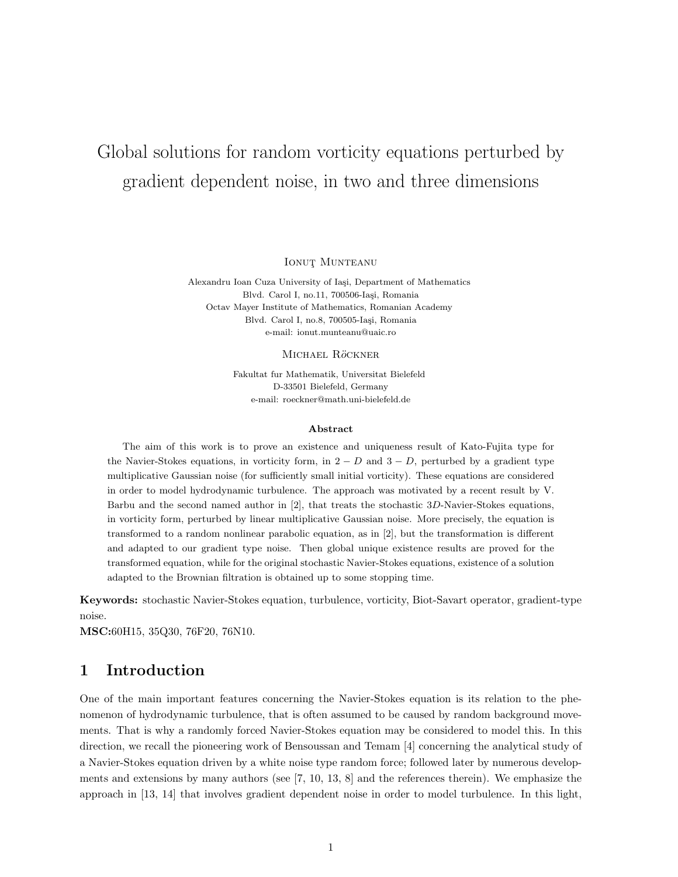# Global solutions for random vorticity equations perturbed by gradient dependent noise, in two and three dimensions

IONUT MUNTEANU

Alexandru Ioan Cuza University of Iași, Department of Mathematics Blvd. Carol I, no.11, 700506-Iași, Romania Octav Mayer Institute of Mathematics, Romanian Academy Blvd. Carol I, no.8, 700505-Iaşi, Romania e-mail: ionut.munteanu@uaic.ro

#### MICHAEL RÖCKNER

Fakultat fur Mathematik, Universitat Bielefeld D-33501 Bielefeld, Germany e-mail: roeckner@math.uni-bielefeld.de

#### Abstract

The aim of this work is to prove an existence and uniqueness result of Kato-Fujita type for the Navier-Stokes equations, in vorticity form, in  $2 - D$  and  $3 - D$ , perturbed by a gradient type multiplicative Gaussian noise (for sufficiently small initial vorticity). These equations are considered in order to model hydrodynamic turbulence. The approach was motivated by a recent result by V. Barbu and the second named author in [2], that treats the stochastic 3D-Navier-Stokes equations, in vorticity form, perturbed by linear multiplicative Gaussian noise. More precisely, the equation is transformed to a random nonlinear parabolic equation, as in [2], but the transformation is different and adapted to our gradient type noise. Then global unique existence results are proved for the transformed equation, while for the original stochastic Navier-Stokes equations, existence of a solution adapted to the Brownian filtration is obtained up to some stopping time.

Keywords: stochastic Navier-Stokes equation, turbulence, vorticity, Biot-Savart operator, gradient-type noise.

MSC:60H15, 35Q30, 76F20, 76N10.

# 1 Introduction

One of the main important features concerning the Navier-Stokes equation is its relation to the phenomenon of hydrodynamic turbulence, that is often assumed to be caused by random background movements. That is why a randomly forced Navier-Stokes equation may be considered to model this. In this direction, we recall the pioneering work of Bensoussan and Temam [4] concerning the analytical study of a Navier-Stokes equation driven by a white noise type random force; followed later by numerous developments and extensions by many authors (see [7, 10, 13, 8] and the references therein). We emphasize the approach in [13, 14] that involves gradient dependent noise in order to model turbulence. In this light,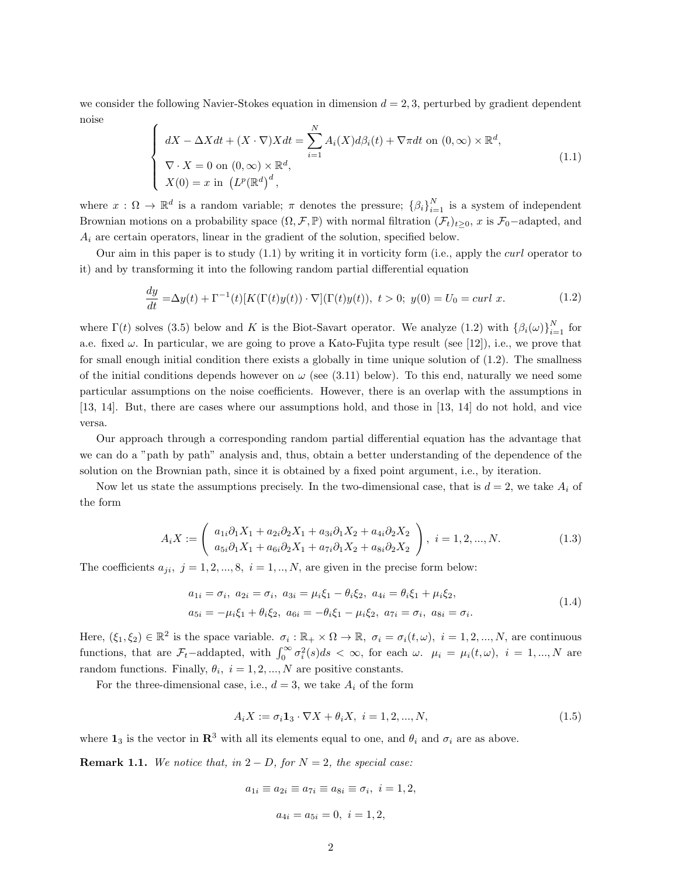we consider the following Navier-Stokes equation in dimension  $d = 2, 3$ , perturbed by gradient dependent noise

$$
\begin{cases}\n dX - \Delta X dt + (X \cdot \nabla) X dt = \sum_{i=1}^{N} A_i(X) d\beta_i(t) + \nabla \pi dt \text{ on } (0, \infty) \times \mathbb{R}^d, \\
 \nabla \cdot X = 0 \text{ on } (0, \infty) \times \mathbb{R}^d, \\
 X(0) = x \text{ in } (L^p(\mathbb{R}^d))^d,\n\end{cases}
$$
\n(1.1)

where  $x: \Omega \to \mathbb{R}^d$  is a random variable;  $\pi$  denotes the pressure;  $\{\beta_i\}_{i=1}^N$  is a system of independent Brownian motions on a probability space  $(\Omega, \mathcal{F}, \mathbb{P})$  with normal filtration  $(\mathcal{F}_t)_{t>0}$ , x is  $\mathcal{F}_0$ -adapted, and  $A_i$  are certain operators, linear in the gradient of the solution, specified below.

Our aim in this paper is to study  $(1.1)$  by writing it in vorticity form (i.e., apply the *curl* operator to it) and by transforming it into the following random partial differential equation

$$
\frac{dy}{dt} = \Delta y(t) + \Gamma^{-1}(t)[K(\Gamma(t)y(t)) \cdot \nabla](\Gamma(t)y(t)), \ t > 0; \ y(0) = U_0 = curl \ x.
$$
 (1.2)

where  $\Gamma(t)$  solves (3.5) below and K is the Biot-Savart operator. We analyze (1.2) with  $\{\beta_i(\omega)\}_{i=1}^N$  for a.e. fixed  $\omega$ . In particular, we are going to prove a Kato-Fujita type result (see [12]), i.e., we prove that for small enough initial condition there exists a globally in time unique solution of (1.2). The smallness of the initial conditions depends however on  $\omega$  (see (3.11) below). To this end, naturally we need some particular assumptions on the noise coefficients. However, there is an overlap with the assumptions in [13, 14]. But, there are cases where our assumptions hold, and those in [13, 14] do not hold, and vice versa.

Our approach through a corresponding random partial differential equation has the advantage that we can do a "path by path" analysis and, thus, obtain a better understanding of the dependence of the solution on the Brownian path, since it is obtained by a fixed point argument, i.e., by iteration.

Now let us state the assumptions precisely. In the two-dimensional case, that is  $d = 2$ , we take  $A_i$  of the form

$$
A_i X := \begin{pmatrix} a_{1i} \partial_1 X_1 + a_{2i} \partial_2 X_1 + a_{3i} \partial_1 X_2 + a_{4i} \partial_2 X_2 \\ a_{5i} \partial_1 X_1 + a_{6i} \partial_2 X_1 + a_{7i} \partial_1 X_2 + a_{8i} \partial_2 X_2 \end{pmatrix}, \ i = 1, 2, ..., N.
$$
 (1.3)

The coefficients  $a_{ji}$ ,  $j = 1, 2, ..., 8$ ,  $i = 1, ..., N$ , are given in the precise form below:

$$
a_{1i} = \sigma_i, \ a_{2i} = \sigma_i, \ a_{3i} = \mu_i \xi_1 - \theta_i \xi_2, \ a_{4i} = \theta_i \xi_1 + \mu_i \xi_2, a_{5i} = -\mu_i \xi_1 + \theta_i \xi_2, \ a_{6i} = -\theta_i \xi_1 - \mu_i \xi_2, \ a_{7i} = \sigma_i, \ a_{8i} = \sigma_i.
$$
\n(1.4)

Here,  $(\xi_1, \xi_2) \in \mathbb{R}^2$  is the space variable.  $\sigma_i : \mathbb{R}_+ \times \Omega \to \mathbb{R}$ ,  $\sigma_i = \sigma_i(t, \omega)$ ,  $i = 1, 2, ..., N$ , are continuous functions, that are  $\mathcal{F}_t$ -addapted, with  $\int_0^\infty \sigma_i^2(s)ds < \infty$ , for each  $\omega$ .  $\mu_i = \mu_i(t, \omega)$ ,  $i = 1, ..., N$  are random functions. Finally,  $\theta_i$ ,  $i = 1, 2, ..., N$  are positive constants.

For the three-dimensional case, i.e.,  $d = 3$ , we take  $A_i$  of the form

$$
A_i X := \sigma_i \mathbf{1}_3 \cdot \nabla X + \theta_i X, \ i = 1, 2, ..., N,
$$
\n(1.5)

where  $\mathbf{1}_3$  is the vector in  $\mathbb{R}^3$  with all its elements equal to one, and  $\theta_i$  and  $\sigma_i$  are as above.

**Remark 1.1.** We notice that, in  $2 - D$ , for  $N = 2$ , the special case:

$$
a_{1i} \equiv a_{2i} \equiv a_{7i} \equiv a_{8i} \equiv \sigma_i, \ i = 1, 2,
$$
  
 $a_{4i} = a_{5i} = 0, \ i = 1, 2,$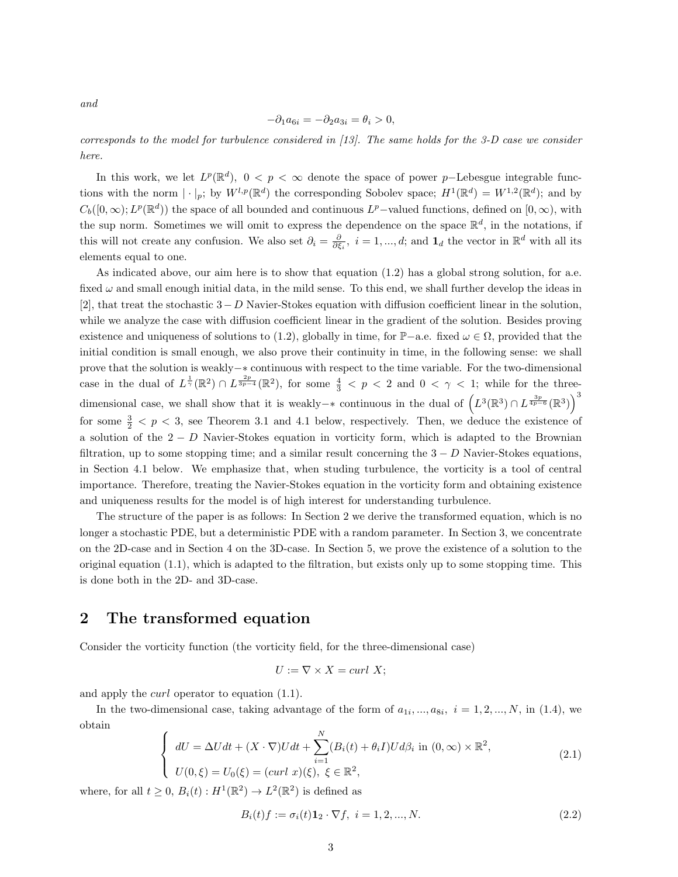and

$$
-\partial_1 a_{6i} = -\partial_2 a_{3i} = \theta_i > 0,
$$

corresponds to the model for turbulence considered in [13]. The same holds for the 3-D case we consider here.

In this work, we let  $L^p(\mathbb{R}^d)$ ,  $0 < p < \infty$  denote the space of power p–Lebesgue integrable functions with the norm  $|\cdot|_p$ ; by  $W^{l,p}(\mathbb{R}^d)$  the corresponding Sobolev space;  $H^1(\mathbb{R}^d) = W^{1,2}(\mathbb{R}^d)$ ; and by  $C_b([0,\infty); L^p(\mathbb{R}^d))$  the space of all bounded and continuous  $L^p$ -valued functions, defined on  $[0,\infty)$ , with the sup norm. Sometimes we will omit to express the dependence on the space  $\mathbb{R}^d$ , in the notations, if this will not create any confusion. We also set  $\partial_i = \frac{\partial}{\partial \xi_i}$ ,  $i = 1, ..., d$ ; and  $\mathbf{1}_d$  the vector in  $\mathbb{R}^d$  with all its elements equal to one.

As indicated above, our aim here is to show that equation (1.2) has a global strong solution, for a.e. fixed  $\omega$  and small enough initial data, in the mild sense. To this end, we shall further develop the ideas in [2], that treat the stochastic  $3-D$  Navier-Stokes equation with diffusion coefficient linear in the solution, while we analyze the case with diffusion coefficient linear in the gradient of the solution. Besides proving existence and uniqueness of solutions to (1.2), globally in time, for  $\mathbb{P}-a.e.$  fixed  $\omega \in \Omega$ , provided that the initial condition is small enough, we also prove their continuity in time, in the following sense: we shall prove that the solution is weakly−∗ continuous with respect to the time variable. For the two-dimensional case in the dual of  $L^{\frac{1}{\gamma}}(\mathbb{R}^2) \cap L^{\frac{2p}{3p-4}}(\mathbb{R}^2)$ , for some  $\frac{4}{3} < p < 2$  and  $0 < \gamma < 1$ ; while for the threedimensional case, we shall show that it is weakly– $*$  continuous in the dual of  $(L^3(\mathbb{R}^3) \cap L^{\frac{3p}{4p-6}}(\mathbb{R}^3))$ for some  $\frac{3}{2} < p < 3$ , see Theorem 3.1 and 4.1 below, respectively. Then, we deduce the existence of a solution of the  $2 - D$  Navier-Stokes equation in vorticity form, which is adapted to the Brownian filtration, up to some stopping time; and a similar result concerning the  $3-D$  Navier-Stokes equations. in Section 4.1 below. We emphasize that, when studing turbulence, the vorticity is a tool of central importance. Therefore, treating the Navier-Stokes equation in the vorticity form and obtaining existence and uniqueness results for the model is of high interest for understanding turbulence.

The structure of the paper is as follows: In Section 2 we derive the transformed equation, which is no longer a stochastic PDE, but a deterministic PDE with a random parameter. In Section 3, we concentrate on the 2D-case and in Section 4 on the 3D-case. In Section 5, we prove the existence of a solution to the original equation  $(1.1)$ , which is adapted to the filtration, but exists only up to some stopping time. This is done both in the 2D- and 3D-case.

# 2 The transformed equation

Consider the vorticity function (the vorticity field, for the three-dimensional case)

$$
U := \nabla \times X = \operatorname{curl} X;
$$

and apply the curl operator to equation (1.1).

In the two-dimensional case, taking advantage of the form of  $a_{1i},...,a_{8i}, i = 1,2,...,N$ , in (1.4), we obtain

$$
\begin{cases}\ndU = \Delta Udt + (X \cdot \nabla)Udt + \sum_{i=1}^{N} (B_i(t) + \theta_i I)Ud\beta_i \text{ in } (0, \infty) \times \mathbb{R}^2, \\
U(0, \xi) = U_0(\xi) = (curl \ x)(\xi), \ \xi \in \mathbb{R}^2,\n\end{cases}
$$
\n(2.1)

where, for all  $t \geq 0$ ,  $B_i(t) : H^1(\mathbb{R}^2) \to L^2(\mathbb{R}^2)$  is defined as

$$
B_i(t)f := \sigma_i(t)\mathbf{1}_2 \cdot \nabla f, \ i = 1, 2, \dots, N. \tag{2.2}
$$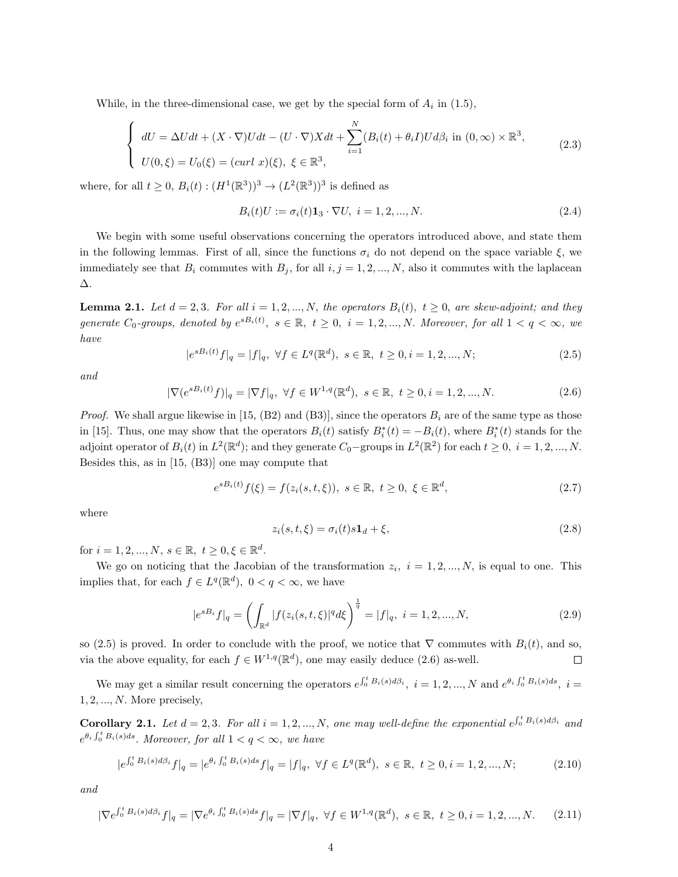While, in the three-dimensional case, we get by the special form of  $A_i$  in (1.5),

$$
\begin{cases}\ndU = \Delta Udt + (X \cdot \nabla)Udt - (U \cdot \nabla)Xdt + \sum_{i=1}^{N} (B_i(t) + \theta_i I)Ud\beta_i \text{ in } (0, \infty) \times \mathbb{R}^3, \\
U(0, \xi) = U_0(\xi) = (curl \ x)(\xi), \ \xi \in \mathbb{R}^3,\n\end{cases}
$$
\n(2.3)

where, for all  $t \geq 0$ ,  $B_i(t) : (H^1(\mathbb{R}^3))^3 \to (L^2(\mathbb{R}^3))^3$  is defined as

$$
B_i(t)U := \sigma_i(t)\mathbf{1}_3 \cdot \nabla U, \ i = 1, 2, ..., N. \tag{2.4}
$$

We begin with some useful observations concerning the operators introduced above, and state them in the following lemmas. First of all, since the functions  $\sigma_i$  do not depend on the space variable  $\xi$ , we immediately see that  $B_i$  commutes with  $B_j$ , for all  $i, j = 1, 2, ..., N$ , also it commutes with the laplacean ∆.

**Lemma 2.1.** Let  $d = 2, 3$ . For all  $i = 1, 2, ..., N$ , the operators  $B_i(t)$ ,  $t > 0$ , are skew-adjoint; and they generate  $C_0$ -groups, denoted by  $e^{sB_i(t)}$ ,  $s \in \mathbb{R}$ ,  $t \ge 0$ ,  $i = 1, 2, ..., N$ . Moreover, for all  $1 < q < \infty$ , we have

$$
|e^{sB_i(t)}f|_q = |f|_q, \ \forall f \in L^q(\mathbb{R}^d), \ s \in \mathbb{R}, \ t \ge 0, i = 1, 2, ..., N; \tag{2.5}
$$

and

$$
|\nabla(e^{sB_i(t)}f)|_q = |\nabla f|_q, \ \forall f \in W^{1,q}(\mathbb{R}^d), \ s \in \mathbb{R}, \ t \ge 0, i = 1, 2, ..., N. \tag{2.6}
$$

*Proof.* We shall argue likewise in [15,  $(B2)$  and  $(B3)$ ], since the operators  $B_i$  are of the same type as those in [15]. Thus, one may show that the operators  $B_i(t)$  satisfy  $B_i^*(t) = -B_i(t)$ , where  $B_i^*(t)$  stands for the adjoint operator of  $B_i(t)$  in  $L^2(\mathbb{R}^d)$ ; and they generate  $C_0$ -groups in  $L^2(\mathbb{R}^2)$  for each  $t \geq 0$ ,  $i = 1, 2, ..., N$ . Besides this, as in [15, (B3)] one may compute that

$$
e^{sB_i(t)}f(\xi) = f(z_i(s, t, \xi)), \ s \in \mathbb{R}, \ t \ge 0, \ \xi \in \mathbb{R}^d,
$$
\n(2.7)

where

$$
z_i(s, t, \xi) = \sigma_i(t)s\mathbf{1}_d + \xi,\tag{2.8}
$$

for  $i = 1, 2, ..., N, s \in \mathbb{R}, t \ge 0, \xi \in \mathbb{R}^d$ .

We go on noticing that the Jacobian of the transformation  $z_i$ ,  $i = 1, 2, ..., N$ , is equal to one. This implies that, for each  $f \in L^q(\mathbb{R}^d)$ ,  $0 < q < \infty$ , we have

$$
|e^{sB_i}f|_q = \left(\int_{\mathbb{R}^d} |f(z_i(s, t, \xi)|^q d\xi\right)^{\frac{1}{q}} = |f|_q, \ i = 1, 2, ..., N,
$$
\n(2.9)

so (2.5) is proved. In order to conclude with the proof, we notice that  $\nabla$  commutes with  $B_i(t)$ , and so, via the above equality, for each  $f \in W^{1,q}(\mathbb{R}^d)$ , one may easily deduce (2.6) as-well.  $\Box$ 

We may get a similar result concerning the operators  $e^{\int_0^t B_i(s) d\beta_i}$ ,  $i = 1, 2, ..., N$  and  $e^{\theta_i \int_0^t B_i(s) ds}$ ,  $i =$  $1, 2, \ldots, N$ . More precisely,

**Corollary 2.1.** Let  $d = 2, 3$ . For all  $i = 1, 2, ..., N$ , one may well-define the exponential  $e^{\int_0^t B_i(s) d\beta_i}$  and  $e^{\theta_i \int_0^t B_i(s)ds}$ . Moreover, for all  $1 < q < \infty$ , we have

$$
|e^{\int_0^t B_i(s)d\beta_i} f|_q = |e^{\theta_i \int_0^t B_i(s)ds} f|_q = |f|_q, \ \forall f \in L^q(\mathbb{R}^d), \ s \in \mathbb{R}, \ t \ge 0, i = 1, 2, ..., N; \tag{2.10}
$$

and

$$
|\nabla e^{\int_0^t B_i(s)d\beta_i} f|_q = |\nabla e^{\theta_i \int_0^t B_i(s)ds} f|_q = |\nabla f|_q, \ \forall f \in W^{1,q}(\mathbb{R}^d), \ s \in \mathbb{R}, \ t \ge 0, i = 1, 2, ..., N. \tag{2.11}
$$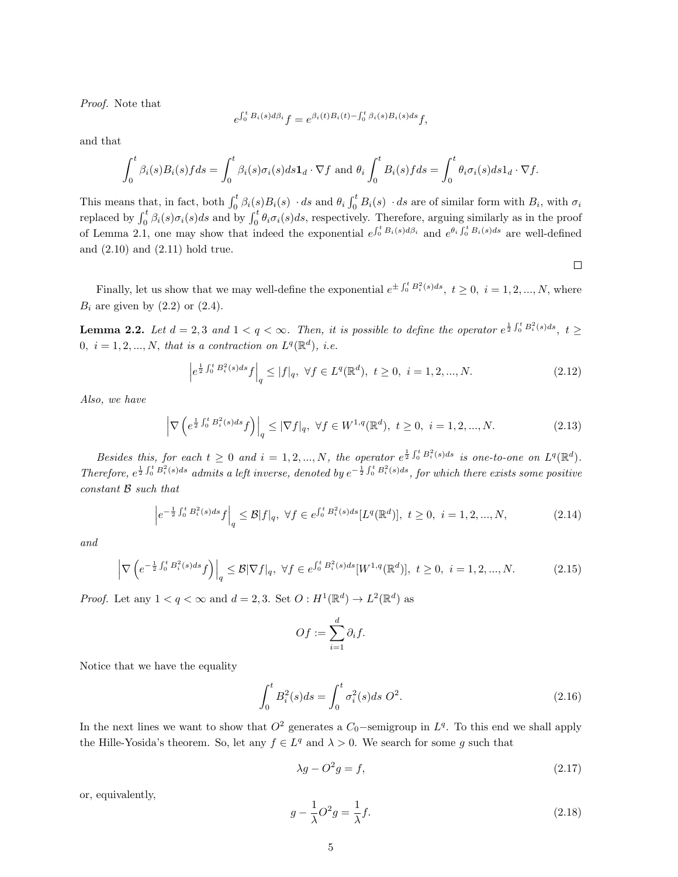Proof. Note that

$$
e^{\int_0^t B_i(s)d\beta_i}f = e^{\beta_i(t)B_i(t) - \int_0^t \beta_i(s)B_i(s)ds}f,
$$

and that

$$
\int_0^t \beta_i(s) B_i(s) f ds = \int_0^t \beta_i(s) \sigma_i(s) ds \mathbf{1}_d \cdot \nabla f \text{ and } \theta_i \int_0^t B_i(s) f ds = \int_0^t \theta_i \sigma_i(s) ds \mathbf{1}_d \cdot \nabla f.
$$

This means that, in fact, both  $\int_0^t \beta_i(s) B_i(s) \cdot ds$  and  $\theta_i \int_0^t B_i(s) \cdot ds$  are of similar form with  $B_i$ , with  $\sigma_i$ replaced by  $\int_0^t \beta_i(s) \sigma_i(s) ds$  and by  $\int_0^t \theta_i \sigma_i(s) ds$ , respectively. Therefore, arguing similarly as in the proof of Lemma 2.1, one may show that indeed the exponential  $e^{\int_0^t B_i(s) d\beta_i}$  and  $e^{\theta_i \int_0^t B_i(s) ds}$  are well-defined and (2.10) and (2.11) hold true.

 $\Box$ 

Finally, let us show that we may well-define the exponential  $e^{\pm \int_0^t B_i^2(s)ds}$ ,  $t \ge 0$ ,  $i = 1, 2, ..., N$ , where  $B_i$  are given by  $(2.2)$  or  $(2.4)$ .

**Lemma 2.2.** Let  $d = 2, 3$  and  $1 < q < \infty$ . Then, it is possible to define the operator  $e^{\frac{1}{2}\int_0^t B_i^2(s)ds}$ ,  $t \geq$ 0,  $i = 1, 2, ..., N$ , that is a contraction on  $L^q(\mathbb{R}^d)$ , i.e.

$$
\left| e^{\frac{1}{2}\int_0^t B_i^2(s)ds} f \right|_q \le |f|_q, \ \forall f \in L^q(\mathbb{R}^d), \ t \ge 0, \ i = 1, 2, ..., N. \tag{2.12}
$$

Also, we have

$$
\left| \nabla \left( e^{\frac{1}{2} \int_0^t B_i^2(s) ds} f \right) \right|_q \leq |\nabla f|_q, \ \forall f \in W^{1,q}(\mathbb{R}^d), \ t \geq 0, \ i = 1, 2, ..., N. \tag{2.13}
$$

Besides this, for each  $t \geq 0$  and  $i = 1, 2, ..., N$ , the operator  $e^{\frac{1}{2}\int_0^t B_i^2(s)ds}$  is one-to-one on  $L^q(\mathbb{R}^d)$ . Therefore,  $e^{\frac{1}{2}\int_0^t B_i^2(s)ds}$  admits a left inverse, denoted by  $e^{-\frac{1}{2}\int_0^t B_i^2(s)ds}$ , for which there exists some positive constant B such that

$$
\left| e^{-\frac{1}{2}\int_0^t B_i^2(s)ds} f \right|_q \leq \mathcal{B}|f|_q, \ \forall f \in e^{\int_0^t B_i^2(s)ds} [L^q(\mathbb{R}^d)], \ t \geq 0, \ i = 1, 2, ..., N,
$$
 (2.14)

and

$$
\left| \nabla \left( e^{-\frac{1}{2} \int_0^t B_i^2(s) ds} f \right) \right|_q \leq \mathcal{B} |\nabla f|_q, \ \forall f \in e^{\int_0^t B_i^2(s) ds} [W^{1,q}(\mathbb{R}^d)], \ t \geq 0, \ i = 1, 2, ..., N. \tag{2.15}
$$

*Proof.* Let any  $1 < q < \infty$  and  $d = 2, 3$ . Set  $O: H^1(\mathbb{R}^d) \to L^2(\mathbb{R}^d)$  as

$$
Of:=\sum_{i=1}^d \partial_i f.
$$

Notice that we have the equality

$$
\int_0^t B_i^2(s)ds = \int_0^t \sigma_i^2(s)ds \ O^2.
$$
\n(2.16)

In the next lines we want to show that  $O^2$  generates a  $C_0$ -semigroup in  $L<sup>q</sup>$ . To this end we shall apply the Hille-Yosida's theorem. So, let any  $f \in L^q$  and  $\lambda > 0$ . We search for some g such that

$$
\lambda g - O^2 g = f,\tag{2.17}
$$

or, equivalently,

$$
g - \frac{1}{\lambda}O^2g = \frac{1}{\lambda}f.
$$
\n(2.18)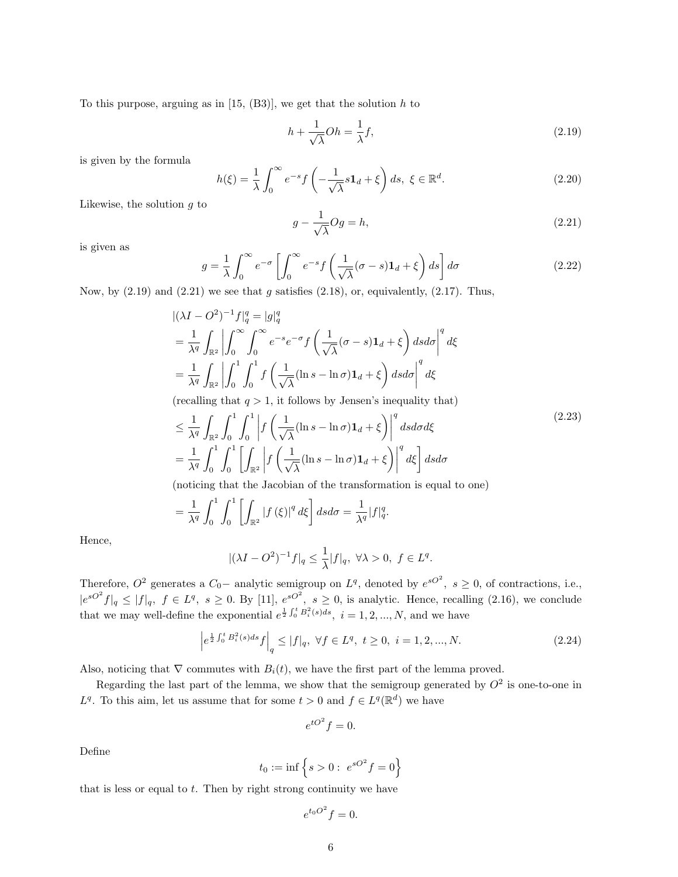To this purpose, arguing as in  $[15, (B3)]$ , we get that the solution  $h$  to

$$
h + \frac{1}{\sqrt{\lambda}}Oh = \frac{1}{\lambda}f,\tag{2.19}
$$

is given by the formula

$$
h(\xi) = \frac{1}{\lambda} \int_0^\infty e^{-s} f\left(-\frac{1}{\sqrt{\lambda}} s \mathbf{1}_d + \xi\right) ds, \ \xi \in \mathbb{R}^d. \tag{2.20}
$$

Likewise, the solution  $q$  to

$$
g - \frac{1}{\sqrt{\lambda}} Og = h,\tag{2.21}
$$

is given as

$$
g = \frac{1}{\lambda} \int_0^\infty e^{-\sigma} \left[ \int_0^\infty e^{-s} f\left(\frac{1}{\sqrt{\lambda}} (\sigma - s) \mathbf{1}_d + \xi\right) ds \right] d\sigma
$$
 (2.22)

Now, by  $(2.19)$  and  $(2.21)$  we see that g satisfies  $(2.18)$ , or, equivalently,  $(2.17)$ . Thus,

$$
\begin{split}\n&\left| (\lambda I - O^2)^{-1} f \right|_q^q = |g|_q^q \\
&= \frac{1}{\lambda^q} \int_{\mathbb{R}^2} \left| \int_0^\infty \int_0^\infty e^{-s} e^{-\sigma} f\left( \frac{1}{\sqrt{\lambda}} (\sigma - s) \mathbf{1}_d + \xi \right) ds d\sigma \right|^q d\xi \\
&= \frac{1}{\lambda^q} \int_{\mathbb{R}^2} \left| \int_0^1 \int_0^1 f\left( \frac{1}{\sqrt{\lambda}} (\ln s - \ln \sigma) \mathbf{1}_d + \xi \right) ds d\sigma \right|^q d\xi\n\end{split}
$$

(recalling that  $q > 1$ , it follows by Jensen's inequality that)

$$
\leq \frac{1}{\lambda^q} \int_{\mathbb{R}^2} \int_0^1 \int_0^1 \left| f \left( \frac{1}{\sqrt{\lambda}} (\ln s - \ln \sigma) \mathbf{1}_d + \xi \right) \right|^q ds d\sigma d\xi
$$
\n
$$
= \frac{1}{\lambda^q} \int_0^1 \int_0^1 \left[ \int_{\mathbb{R}^2} \left| f \left( \frac{1}{\sqrt{\lambda}} (\ln s - \ln \sigma) \mathbf{1}_d + \xi \right) \right|^q d\xi \right] ds d\sigma
$$
\n
$$
(2.23)
$$

(noticing that the Jacobian of the transformation is equal to one)

$$
= \frac{1}{\lambda^q} \int_0^1 \int_0^1 \left[ \int_{\mathbb{R}^2} |f(\xi)|^q d\xi \right] ds d\sigma = \frac{1}{\lambda^q} |f|_q^q.
$$

Hence,

$$
|(\lambda I - O^2)^{-1}f|_q \le \frac{1}{\lambda}|f|_q, \ \forall \lambda > 0, \ f \in L^q.
$$

Therefore,  $O^2$  generates a  $C_0$  – analytic semigroup on  $L^q$ , denoted by  $e^{sO^2}$ ,  $s \geq 0$ , of contractions, i.e.,  $|e^{sO^2}f|_q \leq |f|_q, f \in L^q, s \geq 0$ . By [11],  $e^{sO^2}$ ,  $s \geq 0$ , is analytic. Hence, recalling (2.16), we conclude that we may well-define the exponential  $e^{\frac{1}{2}\int_0^t B_i^2(s)ds}$ ,  $i = 1, 2, ..., N$ , and we have

$$
\left| e^{\frac{1}{2}\int_0^t B_i^2(s)ds} f \right|_q \le |f|_q, \ \forall f \in L^q, \ t \ge 0, \ i = 1, 2, ..., N. \tag{2.24}
$$

Also, noticing that  $\nabla$  commutes with  $B_i(t)$ , we have the first part of the lemma proved.

Regarding the last part of the lemma, we show that the semigroup generated by  $O^2$  is one-to-one in  $L^q$ . To this aim, let us assume that for some  $t > 0$  and  $f \in L^q(\mathbb{R}^d)$  we have

$$
e^{tO^2}f=0.
$$

Define

$$
t_0 := \inf \left\{ s > 0 : \ e^{sO^2} f = 0 \right\}
$$

that is less or equal to  $t$ . Then by right strong continuity we have

$$
e^{t_0O^2}f=0.
$$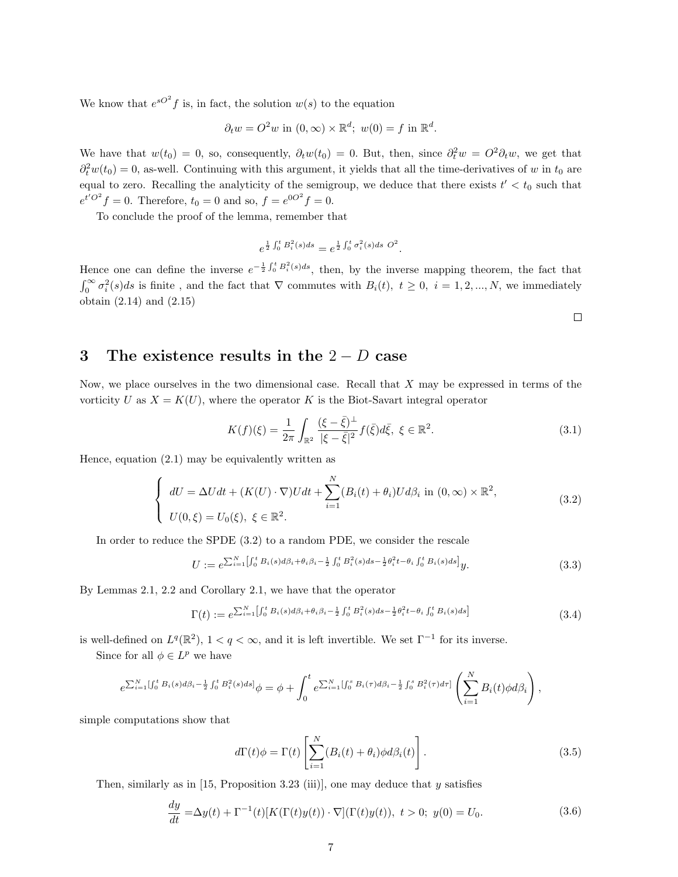We know that  $e^{sO^2} f$  is, in fact, the solution  $w(s)$  to the equation

$$
\partial_t w = O^2 w \text{ in } (0, \infty) \times \mathbb{R}^d; \ w(0) = f \text{ in } \mathbb{R}^d.
$$

We have that  $w(t_0) = 0$ , so, consequently,  $\partial_t w(t_0) = 0$ . But, then, since  $\partial_t^2 w = O^2 \partial_t w$ , we get that  $\partial_t^2 w(t_0) = 0$ , as-well. Continuing with this argument, it yields that all the time-derivatives of w in  $t_0$  are equal to zero. Recalling the analyticity of the semigroup, we deduce that there exists  $t' < t_0$  such that  $e^{t'O^2} f = 0$ . Therefore,  $t_0 = 0$  and so,  $f = e^{0O^2} f = 0$ .

To conclude the proof of the lemma, remember that

$$
e^{\frac{1}{2}\int_0^t B_i^2(s)ds} = e^{\frac{1}{2}\int_0^t \sigma_i^2(s)ds} \, O^2.
$$

Hence one can define the inverse  $e^{-\frac{1}{2}\int_0^t B_i^2(s)ds}$ , then, by the inverse mapping theorem, the fact that  $\int_0^\infty \sigma_i^2(s)ds$  is finite, and the fact that  $\nabla$  commutes with  $B_i(t)$ ,  $t \geq 0$ ,  $i = 1, 2, ..., N$ , we immediately obtain (2.14) and (2.15)

 $\Box$ 

# 3 The existence results in the  $2 - D$  case

Now, we place ourselves in the two dimensional case. Recall that  $X$  may be expressed in terms of the vorticity U as  $X = K(U)$ , where the operator K is the Biot-Savart integral operator

$$
K(f)(\xi) = \frac{1}{2\pi} \int_{\mathbb{R}^2} \frac{(\xi - \bar{\xi})^{\perp}}{|\xi - \bar{\xi}|^2} f(\bar{\xi}) d\bar{\xi}, \ \xi \in \mathbb{R}^2.
$$
 (3.1)

Hence, equation (2.1) may be equivalently written as

$$
\begin{cases}\ndU = \Delta Udt + (K(U) \cdot \nabla)Udt + \sum_{i=1}^{N} (B_i(t) + \theta_i)Ud\beta_i \text{ in } (0, \infty) \times \mathbb{R}^2, \\
U(0, \xi) = U_0(\xi), \ \xi \in \mathbb{R}^2.\n\end{cases}
$$
\n(3.2)

In order to reduce the SPDE (3.2) to a random PDE, we consider the rescale

$$
U := e^{\sum_{i=1}^{N} \left[ \int_0^t B_i(s) d\beta_i + \theta_i \beta_i - \frac{1}{2} \int_0^t B_i^2(s) ds - \frac{1}{2} \theta_i^2 t - \theta_i \int_0^t B_i(s) ds \right]} y.
$$
\n(3.3)

By Lemmas 2.1, 2.2 and Corollary 2.1, we have that the operator

$$
\Gamma(t) := e^{\sum_{i=1}^{N} \left[ \int_0^t B_i(s) d\beta_i + \theta_i \beta_i - \frac{1}{2} \int_0^t B_i^2(s) ds - \frac{1}{2} \theta_i^2 t - \theta_i \int_0^t B_i(s) ds \right]}
$$
\n(3.4)

is well-defined on  $L^q(\mathbb{R}^2)$ ,  $1 < q < \infty$ , and it is left invertible. We set  $\Gamma^{-1}$  for its inverse.

Since for all  $\phi \in L^p$  we have

$$
e^{\sum_{i=1}^N [\int_0^t B_i(s) d\beta_i - \frac{1}{2} \int_0^t B_i^2(s) ds]} \phi = \phi + \int_0^t e^{\sum_{i=1}^N [\int_0^s B_i(\tau) d\beta_i - \frac{1}{2} \int_0^s B_i^2(\tau) d\tau]} \left( \sum_{i=1}^N B_i(t) \phi d\beta_i \right),
$$

simple computations show that

$$
d\Gamma(t)\phi = \Gamma(t) \left[ \sum_{i=1}^{N} (B_i(t) + \theta_i) \phi d\beta_i(t) \right].
$$
\n(3.5)

Then, similarly as in  $[15,$  Proposition 3.23 (iii)], one may deduce that y satisfies

$$
\frac{dy}{dt} = \Delta y(t) + \Gamma^{-1}(t)[K(\Gamma(t)y(t)) \cdot \nabla](\Gamma(t)y(t)), \ t > 0; \ y(0) = U_0.
$$
\n(3.6)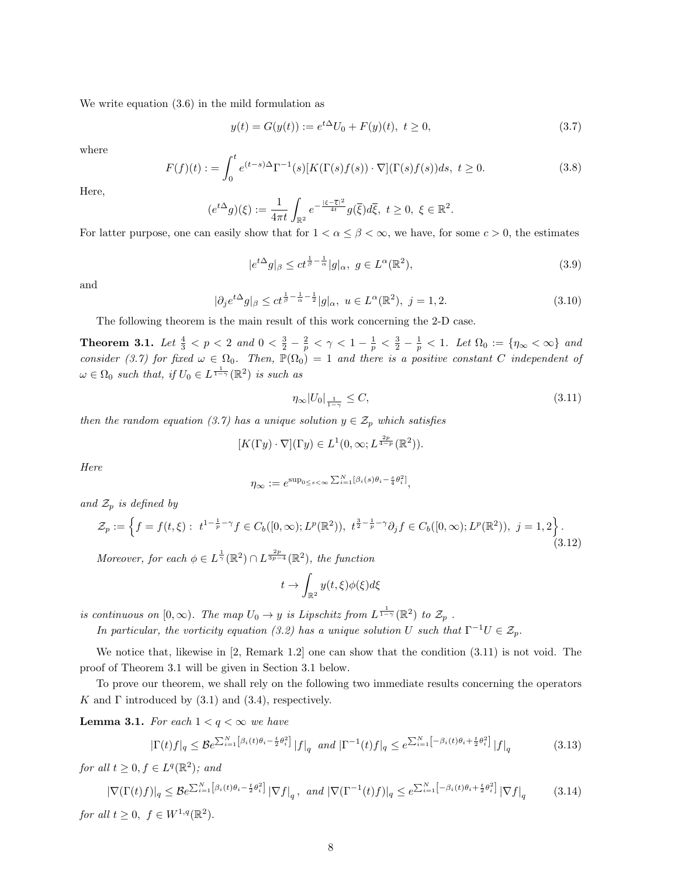We write equation (3.6) in the mild formulation as

$$
y(t) = G(y(t)) := e^{t\Delta}U_0 + F(y)(t), \ t \ge 0,
$$
\n(3.7)

where

$$
F(f)(t) := \int_0^t e^{(t-s)\Delta} \Gamma^{-1}(s) [K(\Gamma(s)f(s)) \cdot \nabla](\Gamma(s)f(s))ds, \ t \ge 0.
$$
 (3.8)

Here,

$$
(e^{t\Delta}g)(\xi) := \frac{1}{4\pi t} \int_{\mathbb{R}^2} e^{-\frac{|\xi-\overline{\xi}|^2}{4t}} g(\overline{\xi}) d\overline{\xi}, \ t \ge 0, \ \xi \in \mathbb{R}^2.
$$

For latter purpose, one can easily show that for  $1 < \alpha \leq \beta < \infty$ , we have, for some  $c > 0$ , the estimates

$$
|e^{t\Delta}g|_{\beta} \le ct^{\frac{1}{\beta} - \frac{1}{\alpha}} |g|_{\alpha}, \ g \in L^{\alpha}(\mathbb{R}^2),\tag{3.9}
$$

and

$$
|\partial_j e^{t\Delta} g|_{\beta} \le c t^{\frac{1}{\beta} - \frac{1}{\alpha} - \frac{1}{2}} |g|_{\alpha}, \ u \in L^{\alpha}(\mathbb{R}^2), \ j = 1, 2.
$$
 (3.10)

The following theorem is the main result of this work concerning the 2-D case.

Theorem 3.1. Let  $\frac{4}{3} < p < 2$  and  $0 < \frac{3}{2} - \frac{2}{p} < \gamma < 1 - \frac{1}{p} < \frac{3}{2} - \frac{1}{p} < 1$ . Let  $\Omega_0 := \{ \eta_\infty < \infty \}$  and consider (3.7) for fixed  $\omega \in \Omega_0$ . Then,  $\mathbb{P}(\Omega_0) = 1$  and there is a positive constant C independent of  $\omega \in \Omega_0$  such that, if  $U_0 \in L^{\frac{1}{1-\gamma}}(\mathbb{R}^2)$  is such as

$$
\eta_{\infty}|U_0|_{\frac{1}{1-\gamma}} \le C,\tag{3.11}
$$

then the random equation (3.7) has a unique solution  $y \in \mathcal{Z}_p$  which satisfies

$$
[K(\Gamma y)\cdot\nabla](\Gamma y)\in L^1(0,\infty;L^{\frac{2p}{4-p}}(\mathbb{R}^2)).
$$

Here

$$
\eta_{\infty} := e^{\sup_{0 \leq s < \infty} \sum_{i=1}^{N} [\beta_i(s)\theta_i - \frac{s}{4}\theta_i^2]},
$$

and  $\mathcal{Z}_p$  is defined by

$$
\mathcal{Z}_p := \left\{ f = f(t,\xi) : \ t^{1-\frac{1}{p}-\gamma} f \in C_b([0,\infty); L^p(\mathbb{R}^2)), \ t^{\frac{3}{2}-\frac{1}{p}-\gamma} \partial_j f \in C_b([0,\infty); L^p(\mathbb{R}^2)), \ j = 1,2 \right\}.
$$
\n(3.12)

Moreover, for each  $\phi \in L^{\frac{1}{\gamma}}(\mathbb{R}^2) \cap L^{\frac{2p}{3p-4}}(\mathbb{R}^2)$ , the function

$$
t \to \int_{\mathbb{R}^2} y(t,\xi)\phi(\xi)d\xi
$$

is continuous on  $[0, \infty)$ . The map  $U_0 \to y$  is Lipschitz from  $L^{\frac{1}{1-\gamma}}(\mathbb{R}^2)$  to  $\mathcal{Z}_p$ .

In particular, the vorticity equation (3.2) has a unique solution U such that  $\Gamma^{-1}U \in \mathcal{Z}_p$ .

We notice that, likewise in [2, Remark 1.2] one can show that the condition (3.11) is not void. The proof of Theorem 3.1 will be given in Section 3.1 below.

To prove our theorem, we shall rely on the following two immediate results concerning the operators K and  $\Gamma$  introduced by (3.1) and (3.4), respectively.

**Lemma 3.1.** For each  $1 < q < \infty$  we have

$$
|\Gamma(t)f|_{q} \leq \mathcal{B}e^{\sum_{i=1}^{N} \left[\beta_{i}(t)\theta_{i} - \frac{t}{2}\theta_{i}^{2}\right]} |f|_{q} \text{ and } |\Gamma^{-1}(t)f|_{q} \leq e^{\sum_{i=1}^{N} \left[-\beta_{i}(t)\theta_{i} + \frac{t}{2}\theta_{i}^{2}\right]} |f|_{q}
$$
(3.13)

for all  $t \geq 0, f \in L^q(\mathbb{R}^2)$ ; and

$$
|\nabla(\Gamma(t)f)|_q \le \mathcal{B}e^{\sum_{i=1}^N \left[\beta_i(t)\theta_i - \frac{t}{2}\theta_i^2\right]} |\nabla f|_q, \text{ and } |\nabla(\Gamma^{-1}(t)f)|_q \le e^{\sum_{i=1}^N \left[-\beta_i(t)\theta_i + \frac{t}{2}\theta_i^2\right]} |\nabla f|_q \tag{3.14}
$$

for all  $t \geq 0$ ,  $f \in W^{1,q}(\mathbb{R}^2)$ .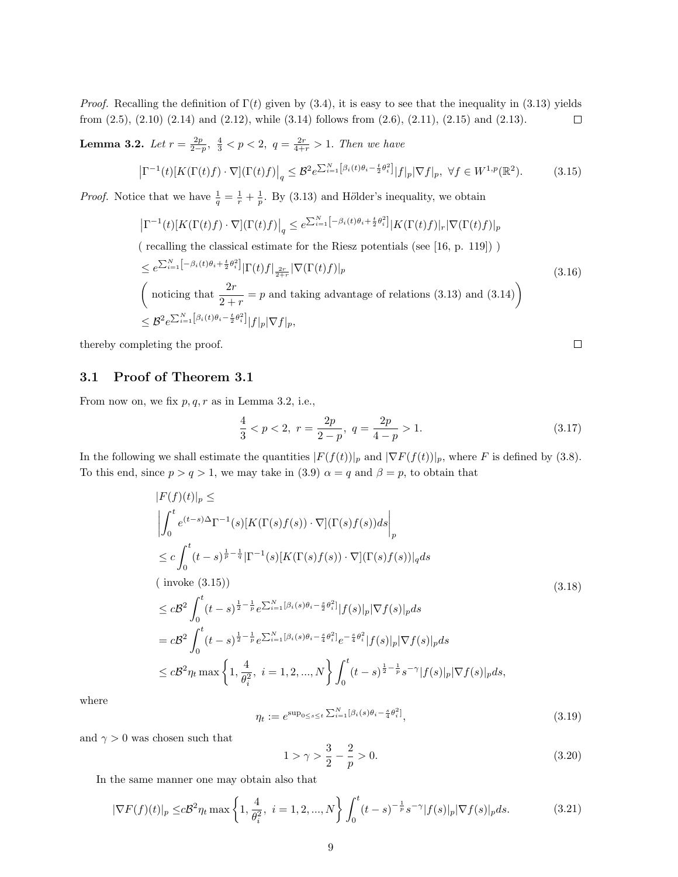*Proof.* Recalling the definition of  $\Gamma(t)$  given by (3.4), it is easy to see that the inequality in (3.13) yields from (2.5), (2.10) (2.14) and (2.12), while (3.14) follows from (2.6), (2.11), (2.15) and (2.13).  $\Box$ 

**Lemma 3.2.** Let  $r = \frac{2p}{2-p}, \frac{4}{3} < p < 2, q = \frac{2r}{4+r} > 1$ . Then we have

$$
\left|\Gamma^{-1}(t)[K(\Gamma(t)f)\cdot\nabla](\Gamma(t)f)\right|_{q} \leq \mathcal{B}^{2} e^{\sum_{i=1}^{N} \left[\beta_{i}(t)\theta_{i}-\frac{t}{2}\theta_{i}^{2}\right]} |f|_{p} |\nabla f|_{p}, \ \forall f \in W^{1,p}(\mathbb{R}^{2}).
$$
 (3.15)

*Proof.* Notice that we have  $\frac{1}{q} = \frac{1}{r} + \frac{1}{p}$ . By (3.13) and Hölder's inequality, we obtain

$$
\left|\Gamma^{-1}(t)[K(\Gamma(t)f)\cdot\nabla](\Gamma(t)f)\right|_q \leq e^{\sum_{i=1}^N \left[-\beta_i(t)\theta_i + \frac{t}{2}\theta_i^2\right]}|K(\Gamma(t)f)|_r|\nabla(\Gamma(t)f)|_p
$$
\n( recalling the classical estimate for the Riesz potentials (see [16, p. 119]) )

$$
\leq e^{\sum_{i=1}^{N} \left[-\beta_i(t)\theta_i + \frac{t}{2}\theta_i^2\right]} |\Gamma(t)f|_{\frac{2r}{2+r}} |\nabla(\Gamma(t)f)|_p
$$
\n(3.16)

\n
$$
\left(\text{ noticing that } \frac{2r}{2+r} = p \text{ and taking advantage of relations (3.13) and (3.14)}\right) \leq \mathcal{B}^2 e^{\sum_{i=1}^{N} \left[\beta_i(t)\theta_i - \frac{t}{2}\theta_i^2\right]} |f|_p |\nabla f|_p,
$$

thereby completing the proof.

 $\Box$ 

### 3.1 Proof of Theorem 3.1

From now on, we fix  $p, q, r$  as in Lemma 3.2, i.e.,

$$
\frac{4}{3} < p < 2, \ r = \frac{2p}{2-p}, \ q = \frac{2p}{4-p} > 1. \tag{3.17}
$$

In the following we shall estimate the quantities  $|F(f(t))|_p$  and  $|\nabla F(f(t))|_p$ , where F is defined by (3.8). To this end, since  $p > q > 1$ , we may take in  $(3.9) \alpha = q$  and  $\beta = p$ , to obtain that

$$
|F(f)(t)|_p \le
$$
\n
$$
\left| \int_0^t e^{(t-s)\Delta} \Gamma^{-1}(s) [K(\Gamma(s)f(s)) \cdot \nabla] (\Gamma(s)f(s)) ds \right|_p
$$
\n
$$
\leq c \int_0^t (t-s)^{\frac{1}{p}-\frac{1}{q}} |\Gamma^{-1}(s) [K(\Gamma(s)f(s)) \cdot \nabla] (\Gamma(s)f(s))|_q ds
$$
\n(invoke (3.15))\n
$$
\leq c \mathcal{B}^2 \int_0^t (t-s)^{\frac{1}{2}-\frac{1}{p}} e^{\sum_{i=1}^N [\beta_i(s)\theta_i - \frac{s}{2}\theta_i^2]} |f(s)|_p |\nabla f(s)|_p ds
$$
\n
$$
= c \mathcal{B}^2 \int_0^t (t-s)^{\frac{1}{2}-\frac{1}{p}} e^{\sum_{i=1}^N [\beta_i(s)\theta_i - \frac{s}{4}\theta_i^2]} e^{-\frac{s}{4}\theta_i^2} |f(s)|_p |\nabla f(s)|_p ds
$$
\n
$$
\leq c \mathcal{B}^2 \eta_t \max \left\{ 1, \frac{4}{\theta_i^2}, i = 1, 2, ..., N \right\} \int_0^t (t-s)^{\frac{1}{2}-\frac{1}{p}} s^{-\gamma} |f(s)|_p |\nabla f(s)|_p ds,
$$

where

$$
\eta_t := e^{\sup_{0 \le s \le t} \sum_{i=1}^N [\beta_i(s)\theta_i - \frac{s}{4}\theta_i^2]},\tag{3.19}
$$

and  $\gamma > 0$  was chosen such that

$$
1 > \gamma > \frac{3}{2} - \frac{2}{p} > 0. \tag{3.20}
$$

In the same manner one may obtain also that

$$
|\nabla F(f)(t)|_p \leq c\mathcal{B}^2 \eta_t \max\left\{1, \frac{4}{\theta_i^2}, \ i = 1, 2, ..., N\right\} \int_0^t (t-s)^{-\frac{1}{p}} s^{-\gamma} |f(s)|_p |\nabla f(s)|_p ds. \tag{3.21}
$$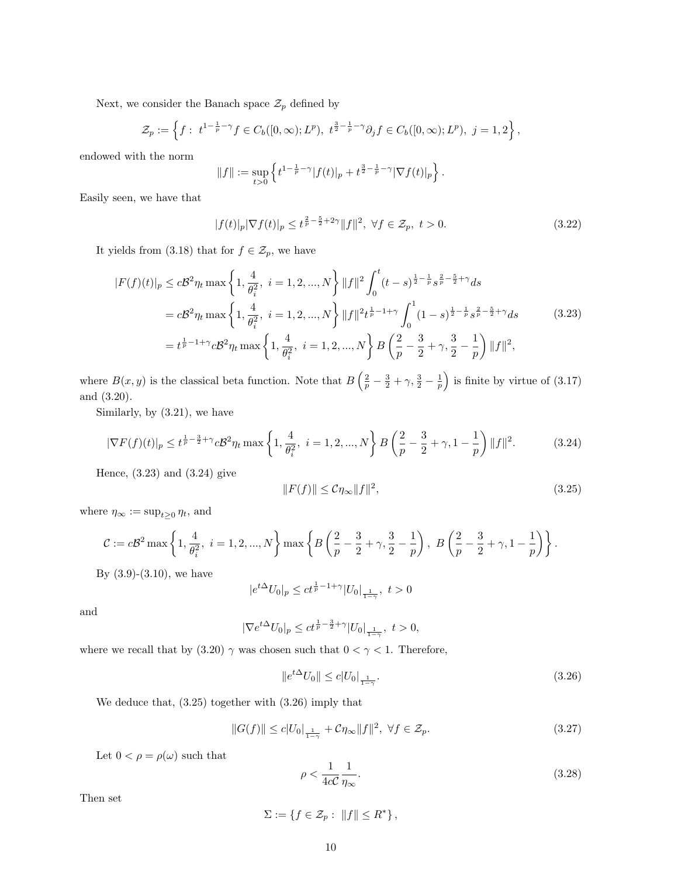Next, we consider the Banach space  $\mathcal{Z}_p$  defined by

$$
\mathcal{Z}_p := \left\{ f : \ t^{1-\frac{1}{p}-\gamma} f \in C_b([0,\infty); L^p), \ t^{\frac{3}{2}-\frac{1}{p}-\gamma} \partial_j f \in C_b([0,\infty); L^p), \ j=1,2 \right\},\
$$

endowed with the norm

$$
||f|| := \sup_{t>0} \left\{ t^{1-\frac{1}{p}-\gamma} |f(t)|_p + t^{\frac{3}{2}-\frac{1}{p}-\gamma} |\nabla f(t)|_p \right\}.
$$

Easily seen, we have that

$$
|f(t)|_p |\nabla f(t)|_p \le t^{\frac{2}{p} - \frac{5}{2} + 2\gamma} ||f||^2, \ \forall f \in \mathcal{Z}_p, \ t > 0.
$$
 (3.22)

It yields from (3.18) that for  $f \in \mathcal{Z}_p$ , we have

$$
|F(f)(t)|_p \leq c\mathcal{B}^2 \eta_t \max\left\{1, \frac{4}{\theta_i^2}, i = 1, 2, ..., N\right\} ||f||^2 \int_0^t (t-s)^{\frac{1}{2} - \frac{1}{p}} s^{\frac{2}{p} - \frac{5}{2} + \gamma} ds
$$
  
\n
$$
= c\mathcal{B}^2 \eta_t \max\left\{1, \frac{4}{\theta_i^2}, i = 1, 2, ..., N\right\} ||f||^2 t^{\frac{1}{p} - 1 + \gamma} \int_0^1 (1-s)^{\frac{1}{2} - \frac{1}{p}} s^{\frac{2}{p} - \frac{5}{2} + \gamma} ds
$$
(3.23)  
\n
$$
= t^{\frac{1}{p} - 1 + \gamma} c\mathcal{B}^2 \eta_t \max\left\{1, \frac{4}{\theta_i^2}, i = 1, 2, ..., N\right\} B\left(\frac{2}{p} - \frac{3}{2} + \gamma, \frac{3}{2} - \frac{1}{p}\right) ||f||^2,
$$

where  $B(x, y)$  is the classical beta function. Note that  $B\left(\frac{2}{p} - \frac{3}{2} + \gamma, \frac{3}{2} - \frac{1}{p}\right)$  is finite by virtue of (3.17) and (3.20).

Similarly, by (3.21), we have

$$
|\nabla F(f)(t)|_p \le t^{\frac{1}{p} - \frac{3}{2} + \gamma} c \mathcal{B}^2 \eta_t \max\left\{1, \frac{4}{\theta_i^2}, i = 1, 2, ..., N\right\} B\left(\frac{2}{p} - \frac{3}{2} + \gamma, 1 - \frac{1}{p}\right) ||f||^2. \tag{3.24}
$$

Hence, (3.23) and (3.24) give

$$
||F(f)|| \leq C\eta_{\infty}||f||^2,\tag{3.25}
$$

where  $\eta_\infty := \sup_{t\geq 0} \eta_t,$  and

$$
\mathcal{C} := c\mathcal{B}^2 \max \left\{ 1, \frac{4}{\theta_i^2}, \ i = 1, 2, ..., N \right\} \max \left\{ B\left(\frac{2}{p} - \frac{3}{2} + \gamma, \frac{3}{2} - \frac{1}{p}\right), \ B\left(\frac{2}{p} - \frac{3}{2} + \gamma, 1 - \frac{1}{p}\right) \right\}.
$$

By  $(3.9)-(3.10)$ , we have

$$
|e^{t\Delta}U_0|_p \le ct^{\frac{1}{p}-1+\gamma}|U_0|_{\frac{1}{1-\gamma}}, \ t > 0
$$

and

$$
|\nabla e^{t\Delta}U_0|_p \leq ct^{\frac{1}{p}-\frac{3}{2}+\gamma}|U_0|_{\frac{1}{1-\gamma}}, \ t > 0,
$$

where we recall that by (3.20)  $\gamma$  was chosen such that  $0 < \gamma < 1$ . Therefore,

$$
||e^{t\Delta}U_0|| \le c|U_0|_{\frac{1}{1-\gamma}}.\tag{3.26}
$$

We deduce that, (3.25) together with (3.26) imply that

$$
||G(f)|| \leq c|U_0|_{\frac{1}{1-\gamma}} + C\eta_{\infty}||f||^2, \ \forall f \in \mathcal{Z}_p. \tag{3.27}
$$

Let  $0 < \rho = \rho(\omega)$  such that

$$
\rho < \frac{1}{4c\mathcal{C}} \frac{1}{\eta_{\infty}}.\tag{3.28}
$$

Then set

 $\Sigma := \{ f \in \mathcal{Z}_p : ||f|| \le R^* \},\$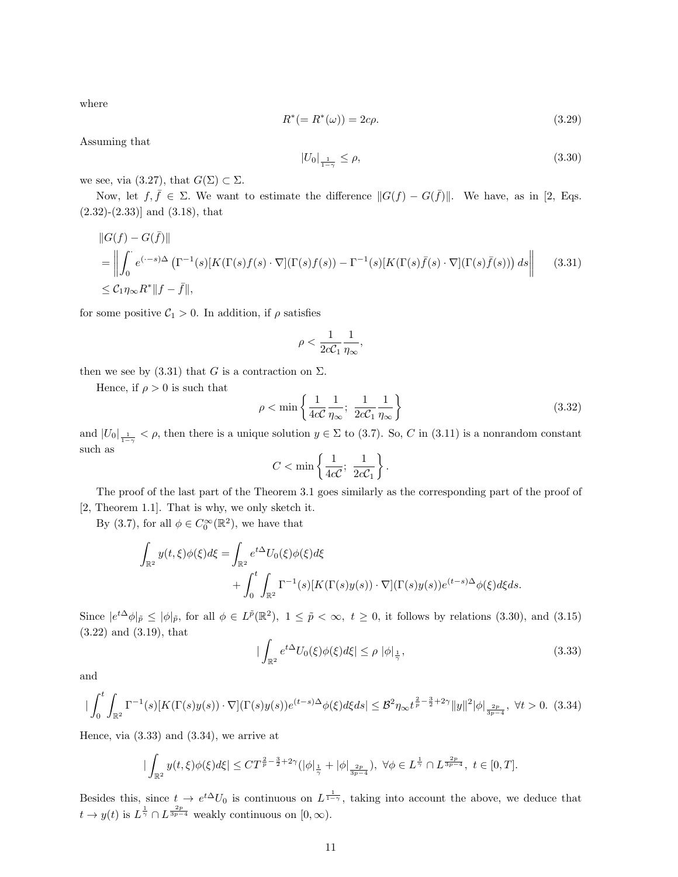where

$$
R^*(=R^*(\omega)) = 2c\rho.
$$
\n(3.29)

Assuming that

$$
|U_0|_{\frac{1}{1-\gamma}} \le \rho,\tag{3.30}
$$

we see, via (3.27), that  $G(\Sigma) \subset \Sigma$ .

Now, let  $f, \bar{f} \in \Sigma$ . We want to estimate the difference  $||G(f) - G(\bar{f})||$ . We have, as in [2, Eqs.  $(2.32)$ - $(2.33)$ ] and  $(3.18)$ , that

$$
\|G(f) - G(\bar{f})\|
$$
  
\n
$$
= \left\| \int_0^{\cdot} e^{(\cdot - s)\Delta} \left( \Gamma^{-1}(s)[K(\Gamma(s)f(s) \cdot \nabla](\Gamma(s)f(s)) - \Gamma^{-1}(s)[K(\Gamma(s)\bar{f}(s) \cdot \nabla](\Gamma(s)\bar{f}(s))) ds \right\|
$$
 (3.31)  
\n
$$
\leq C_1 \eta_{\infty} R^* \|f - \bar{f}\|,
$$

for some positive  $C_1 > 0$ . In addition, if  $\rho$  satisfies

$$
\rho < \frac{1}{2c\mathcal{C}_1} \frac{1}{\eta_\infty},
$$

then we see by (3.31) that G is a contraction on  $\Sigma$ .

Hence, if  $\rho > 0$  is such that

$$
\rho < \min\left\{\frac{1}{4c\mathcal{C}}\frac{1}{\eta_{\infty}};\ \frac{1}{2c\mathcal{C}_1}\frac{1}{\eta_{\infty}}\right\} \tag{3.32}
$$

and  $|U_0|_{\frac{1}{1-\gamma}} < \rho$ , then there is a unique solution  $y \in \Sigma$  to (3.7). So, C in (3.11) is a nonrandom constant such as

$$
C<\min\left\{\frac{1}{4c\mathcal{C}};\ \frac{1}{2c\mathcal{C}_1}\right\}.
$$

The proof of the last part of the Theorem 3.1 goes similarly as the corresponding part of the proof of [2, Theorem 1.1]. That is why, we only sketch it.

By (3.7), for all  $\phi \in C_0^{\infty}(\mathbb{R}^2)$ , we have that

$$
\int_{\mathbb{R}^2} y(t,\xi)\phi(\xi)d\xi = \int_{\mathbb{R}^2} e^{t\Delta}U_0(\xi)\phi(\xi)d\xi \n+ \int_0^t \int_{\mathbb{R}^2} \Gamma^{-1}(s)[K(\Gamma(s)y(s))\cdot \nabla](\Gamma(s)y(s))e^{(t-s)\Delta}\phi(\xi)d\xi ds.
$$

Since  $|e^{t\Delta}\phi|_{\tilde{p}} \leq |\phi|_{\tilde{p}}$ , for all  $\phi \in L^{\tilde{p}}(\mathbb{R}^2)$ ,  $1 \leq \tilde{p} < \infty$ ,  $t \geq 0$ , it follows by relations (3.30), and (3.15) (3.22) and (3.19), that

$$
|\int_{\mathbb{R}^2} e^{t\Delta} U_0(\xi)\phi(\xi)d\xi| \le \rho |\phi|_{\frac{1}{\gamma}},\tag{3.33}
$$

and

$$
|\int_0^t \int_{\mathbb{R}^2} \Gamma^{-1}(s)[K(\Gamma(s)y(s)) \cdot \nabla](\Gamma(s)y(s))e^{(t-s)\Delta}\phi(\xi)d\xi ds| \leq \mathcal{B}^2 \eta_{\infty} t^{\frac{2}{p} - \frac{3}{2} + 2\gamma} \|y\|^2 |\phi|_{\frac{2p}{3p - 4}}, \ \forall t > 0. \tag{3.34}
$$

Hence, via  $(3.33)$  and  $(3.34)$ , we arrive at

$$
|\int_{\mathbb{R}^2} y(t,\xi)\phi(\xi)d\xi| \leq CT^{\frac{2}{p}-\frac{3}{2}+2\gamma}(|\phi|_{\frac{1}{\gamma}}+|\phi|_{\frac{2p}{3p-4}}), \ \forall \phi \in L^{\frac{1}{\gamma}} \cap L^{\frac{2p}{3p-4}}, \ t \in [0,T].
$$

Besides this, since  $t \to e^{t\Delta}U_0$  is continuous on  $L^{\frac{1}{1-\gamma}}$ , taking into account the above, we deduce that  $t \to y(t)$  is  $L^{\frac{1}{\gamma}} \cap L^{\frac{2p}{3p-4}}$  weakly continuous on  $[0,\infty)$ .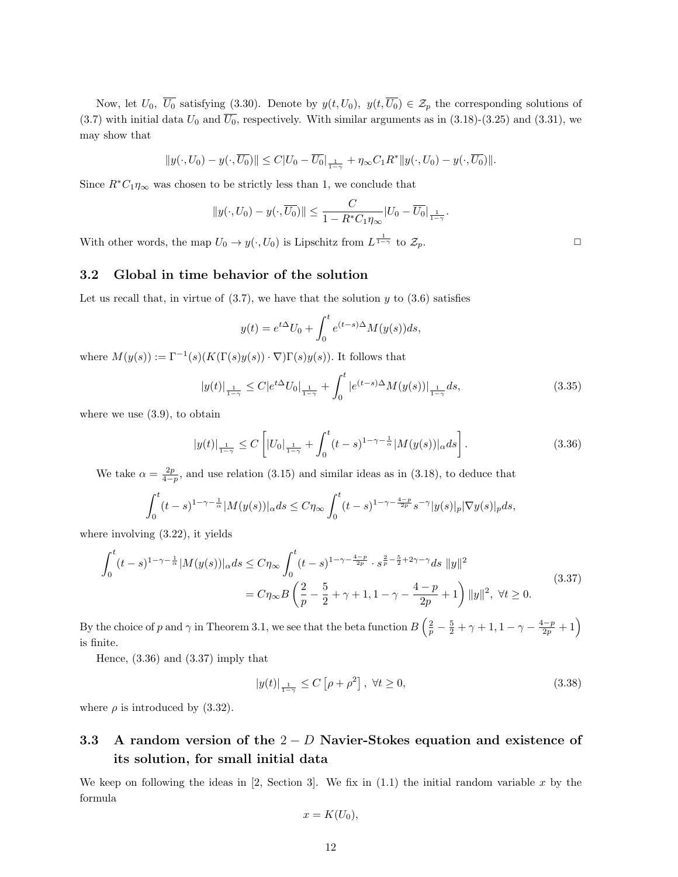Now, let  $U_0$ ,  $\overline{U_0}$  satisfying (3.30). Denote by  $y(t, U_0)$ ,  $y(t, \overline{U_0}) \in \mathcal{Z}_p$  the corresponding solutions of (3.7) with initial data  $U_0$  and  $\overline{U_0}$ , respectively. With similar arguments as in (3.18)-(3.25) and (3.31), we may show that

$$
||y(\cdot, U_0)-y(\cdot,\overline{U_0})|| \leq C|U_0-\overline{U_0}|_{\frac{1}{1-\gamma}}+\eta_{\infty}C_1R^*||y(\cdot,U_0)-y(\cdot,\overline{U_0})||.
$$

Since  $R^*C_1\eta_\infty$  was chosen to be strictly less than 1, we conclude that

$$
||y(\cdot, U_0) - y(\cdot, \overline{U_0})|| \leq \frac{C}{1 - R^* C_1 \eta_{\infty}} |U_0 - \overline{U_0}|_{\frac{1}{1 - \gamma}}.
$$

With other words, the map  $U_0 \to y(\cdot, U_0)$  is Lipschitz from  $L^{\frac{1}{1-\gamma}}$  to  $\mathcal{Z}_p$ .

#### 3.2 Global in time behavior of the solution

Let us recall that, in virtue of  $(3.7)$ , we have that the solution y to  $(3.6)$  satisfies

$$
y(t) = e^{t\Delta}U_0 + \int_0^t e^{(t-s)\Delta}M(y(s))ds,
$$

where  $M(y(s)) := \Gamma^{-1}(s) (K(\Gamma(s)y(s)) \cdot \nabla) \Gamma(s)y(s))$ . It follows that

$$
|y(t)|_{\frac{1}{1-\gamma}} \le C|e^{t\Delta}U_0|_{\frac{1}{1-\gamma}} + \int_0^t |e^{(t-s)\Delta}M(y(s))|_{\frac{1}{1-\gamma}} ds,
$$
\n(3.35)

where we use (3.9), to obtain

$$
|y(t)|_{\frac{1}{1-\gamma}} \le C \left[ |U_0|_{\frac{1}{1-\gamma}} + \int_0^t (t-s)^{1-\gamma-\frac{1}{\alpha}} |M(y(s))|_{\alpha} ds \right].
$$
 (3.36)

We take  $\alpha = \frac{2p}{4-p}$ , and use relation (3.15) and similar ideas as in (3.18), to deduce that

$$
\int_0^t (t-s)^{1-\gamma-\frac{1}{\alpha}} |M(y(s))|_{\alpha} ds \leq C \eta_{\infty} \int_0^t (t-s)^{1-\gamma-\frac{4-p}{2p}} s^{-\gamma} |y(s)|_p |\nabla y(s)|_p ds,
$$

where involving (3.22), it yields

$$
\int_0^t (t-s)^{1-\gamma-\frac{1}{\alpha}} |M(y(s))|_{\alpha} ds \le C \eta_{\infty} \int_0^t (t-s)^{1-\gamma-\frac{4-p}{2p}} \cdot s^{\frac{2}{p}-\frac{5}{2}+2\gamma-\gamma} ds \, \|y\|^2
$$
\n
$$
= C \eta_{\infty} B \left(\frac{2}{p} - \frac{5}{2} + \gamma + 1, 1 - \gamma - \frac{4-p}{2p} + 1\right) \|y\|^2, \ \forall t \ge 0.
$$
\n(3.37)

By the choice of p and  $\gamma$  in Theorem 3.1, we see that the beta function  $B\left(\frac{2}{p}-\frac{5}{2}+\gamma+1,1-\gamma-\frac{4-p}{2p}+1\right)$ is finite.

Hence, (3.36) and (3.37) imply that

$$
|y(t)|_{\frac{1}{1-\gamma}} \le C\left[\rho + \rho^2\right], \ \forall t \ge 0,\tag{3.38}
$$

where  $\rho$  is introduced by (3.32).

# 3.3 A random version of the  $2 - D$  Navier-Stokes equation and existence of its solution, for small initial data

We keep on following the ideas in [2, Section 3]. We fix in  $(1.1)$  the initial random variable x by the formula

$$
x=K(U_0),
$$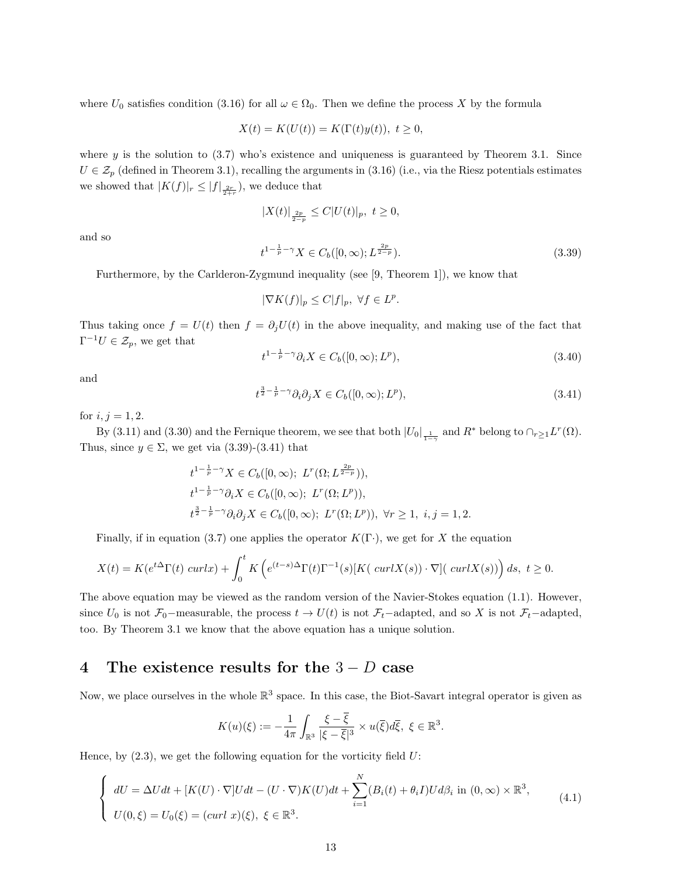where  $U_0$  satisfies condition (3.16) for all  $\omega \in \Omega_0$ . Then we define the process X by the formula

$$
X(t) = K(U(t)) = K(\Gamma(t)y(t)), \ t \ge 0,
$$

where y is the solution to  $(3.7)$  who's existence and uniqueness is guaranteed by Theorem 3.1. Since  $U \in \mathcal{Z}_p$  (defined in Theorem 3.1), recalling the arguments in (3.16) (i.e., via the Riesz potentials estimates we showed that  $|K(f)|_r \leq |f|_{\frac{2r}{2+r}}$ , we deduce that

$$
|X(t)|_{\frac{2p}{2-p}} \leq C|U(t)|_p, \ t \geq 0,
$$

and so

$$
t^{1-\frac{1}{p}-\gamma}X \in C_b([0,\infty); L^{\frac{2p}{2-p}}). \tag{3.39}
$$

Furthermore, by the Carlderon-Zygmund inequality (see [9, Theorem 1]), we know that

$$
|\nabla K(f)|_p \le C|f|_p, \ \forall f \in L^p.
$$

Thus taking once  $f = U(t)$  then  $f = \partial_i U(t)$  in the above inequality, and making use of the fact that  $\Gamma^{-1}U \in \mathcal{Z}_p$ , we get that

$$
t^{1-\frac{1}{p}-\gamma} \partial_i X \in C_b([0,\infty); L^p), \tag{3.40}
$$

and

$$
t^{\frac{3}{2}-\frac{1}{p}-\gamma}\partial_i\partial_j X \in C_b([0,\infty);L^p),\tag{3.41}
$$

for  $i, j = 1, 2$ .

By (3.11) and (3.30) and the Fernique theorem, we see that both  $|U_0|_{\frac{1}{1-\gamma}}$  and  $R^*$  belong to  $\bigcap_{r\geq 1} L^r(\Omega)$ . Thus, since  $y \in \Sigma$ , we get via (3.39)-(3.41) that

$$
t^{1-\frac{1}{p}-\gamma}X \in C_b([0,\infty); L^r(\Omega; L^{\frac{2p}{2-p}})),
$$
  
\n
$$
t^{1-\frac{1}{p}-\gamma}\partial_i X \in C_b([0,\infty); L^r(\Omega; L^p)),
$$
  
\n
$$
t^{\frac{3}{2}-\frac{1}{p}-\gamma}\partial_i \partial_j X \in C_b([0,\infty); L^r(\Omega; L^p)), \forall r \ge 1, i, j = 1, 2.
$$

Finally, if in equation (3.7) one applies the operator  $K(\Gamma)$ , we get for X the equation

$$
X(t) = K(e^{t\Delta}\Gamma(t) \operatorname{curl} x) + \int_0^t K\left(e^{(t-s)\Delta}\Gamma(t)\Gamma^{-1}(s)[K(\operatorname{curl}X(s))\cdot\nabla](\operatorname{curl}X(s))\right)ds, \ t \ge 0.
$$

The above equation may be viewed as the random version of the Navier-Stokes equation (1.1). However, since  $U_0$  is not  $\mathcal{F}_0$ −measurable, the process  $t \to U(t)$  is not  $\mathcal{F}_t$ −adapted, and so X is not  $\mathcal{F}_t$ −adapted, too. By Theorem 3.1 we know that the above equation has a unique solution.

# 4 The existence results for the  $3-D$  case

Now, we place ourselves in the whole  $\mathbb{R}^3$  space. In this case, the Biot-Savart integral operator is given as

$$
K(u)(\xi) := -\frac{1}{4\pi} \int_{\mathbb{R}^3} \frac{\xi - \xi}{|\xi - \overline{\xi}|^3} \times u(\overline{\xi}) d\overline{\xi}, \ \xi \in \mathbb{R}^3.
$$

Hence, by  $(2.3)$ , we get the following equation for the vorticity field U:

$$
\begin{cases}\ndU = \Delta Udt + [K(U) \cdot \nabla]Udt - (U \cdot \nabla)K(U)dt + \sum_{i=1}^{N} (B_i(t) + \theta_i I)Ud\beta_i \text{ in } (0, \infty) \times \mathbb{R}^3, \\
U(0, \xi) = U_0(\xi) = (curl \ x)(\xi), \ \xi \in \mathbb{R}^3.\n\end{cases} \tag{4.1}
$$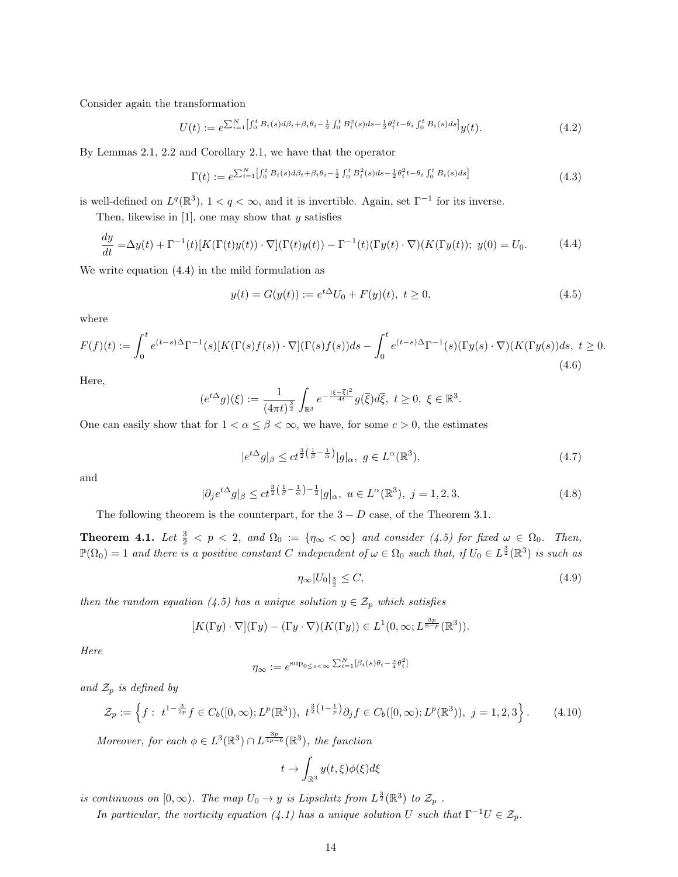Consider again the transformation

$$
U(t) := e^{\sum_{i=1}^{N} \left[ \int_0^t B_i(s) d\beta_i + \beta_i \theta_i - \frac{1}{2} \int_0^t B_i^2(s) ds - \frac{1}{2} \theta_i^2 t - \theta_i \int_0^t B_i(s) ds \right]} y(t).
$$
 (4.2)

By Lemmas 2.1, 2.2 and Corollary 2.1, we have that the operator

$$
\Gamma(t) := e^{\sum_{i=1}^{N} \left[ \int_0^t B_i(s) d\beta_i + \beta_i \theta_i - \frac{1}{2} \int_0^t B_i^2(s) ds - \frac{1}{2} \theta_i^2 t - \theta_i \int_0^t B_i(s) ds \right]}
$$
(4.3)

is well-defined on  $L^q(\mathbb{R}^3)$ ,  $1 < q < \infty$ , and it is invertible. Again, set  $\Gamma^{-1}$  for its inverse.

Then, likewise in  $[1]$ , one may show that y satisfies

$$
\frac{dy}{dt} = \Delta y(t) + \Gamma^{-1}(t)[K(\Gamma(t)y(t))\cdot\nabla](\Gamma(t)y(t)) - \Gamma^{-1}(t)(\Gamma y(t)\cdot\nabla)(K(\Gamma y(t)); y(0)) = U_0.
$$
\n(4.4)

We write equation (4.4) in the mild formulation as

$$
y(t) = G(y(t)) := e^{t\Delta}U_0 + F(y)(t), \ t \ge 0,
$$
\n(4.5)

where

$$
F(f)(t) := \int_0^t e^{(t-s)\Delta} \Gamma^{-1}(s) [K(\Gamma(s)f(s)) \cdot \nabla] (\Gamma(s)f(s)) ds - \int_0^t e^{(t-s)\Delta} \Gamma^{-1}(s) (\Gamma y(s) \cdot \nabla) (K(\Gamma y(s)) ds, \ t \ge 0. \tag{4.6}
$$

Here,

$$
(e^{t\Delta}g)(\xi) := \frac{1}{(4\pi t)^{\frac{3}{2}}} \int_{\mathbb{R}^3} e^{-\frac{|\xi - \overline{\xi}|^2}{4t}} g(\overline{\xi}) d\overline{\xi}, \ t \ge 0, \ \xi \in \mathbb{R}^3.
$$

One can easily show that for  $1 < \alpha \leq \beta < \infty$ , we have, for some  $c > 0$ , the estimates

$$
|e^{t\Delta}g|_{\beta} \le ct^{\frac{3}{2}\left(\frac{1}{\beta}-\frac{1}{\alpha}\right)}|g|_{\alpha}, g \in L^{\alpha}(\mathbb{R}^{3}),\tag{4.7}
$$

and

$$
|\partial_j e^{t\Delta} g|_{\beta} \le c t^{\frac{3}{2}\left(\frac{1}{\beta} - \frac{1}{\alpha}\right) - \frac{1}{2}} |g|_{\alpha}, \ u \in L^{\alpha}(\mathbb{R}^3), \ j = 1, 2, 3. \tag{4.8}
$$

The following theorem is the counterpart, for the  $3 - D$  case, of the Theorem 3.1.

**Theorem 4.1.** Let  $\frac{3}{2} < p < 2$ , and  $\Omega_0 := \{ \eta_{\infty} < \infty \}$  and consider (4.5) for fixed  $\omega \in \Omega_0$ . Then,  $\mathbb{P}(\Omega_0) = 1$  and there is a positive constant C independent of  $\omega \in \Omega_0$  such that, if  $U_0 \in L^{\frac{3}{2}}(\mathbb{R}^3)$  is such as

$$
\eta_{\infty}|U_0|_{\frac{3}{2}} \le C,\tag{4.9}
$$

then the random equation (4.5) has a unique solution  $y \in \mathcal{Z}_p$  which satisfies

$$
[K(\Gamma y)\cdot\nabla](\Gamma y)-(\Gamma y\cdot\nabla)(K(\Gamma y))\in L^1(0,\infty;L^{\frac{3p}{6-p}}(\mathbb{R}^3)).
$$

Here

$$
\eta_{\infty} := e^{\sup_{0 \le s < \infty} \sum_{i=1}^{N} [\beta_i(s)\theta_i - \frac{s}{4}\theta_i^2]}
$$

and  $\mathcal{Z}_p$  is defined by

$$
\mathcal{Z}_p := \left\{ f : \ t^{1 - \frac{3}{2p}} f \in C_b([0, \infty); L^p(\mathbb{R}^3)), \ t^{\frac{3}{2}\left(1 - \frac{1}{p}\right)} \partial_j f \in C_b([0, \infty); L^p(\mathbb{R}^3)), \ j = 1, 2, 3 \right\}.
$$
 (4.10)

Moreover, for each  $\phi \in L^3(\mathbb{R}^3) \cap L^{\frac{3p}{4p-6}}(\mathbb{R}^3)$ , the function

$$
t\to \int_{\mathbb{R}^3} y(t,\xi) \phi(\xi) d\xi
$$

is continuous on  $[0,\infty)$ . The map  $U_0 \to y$  is Lipschitz from  $L^{\frac{3}{2}}(\mathbb{R}^3)$  to  $\mathcal{Z}_p$ .

In particular, the vorticity equation (4.1) has a unique solution U such that  $\Gamma^{-1}U \in \mathcal{Z}_p$ .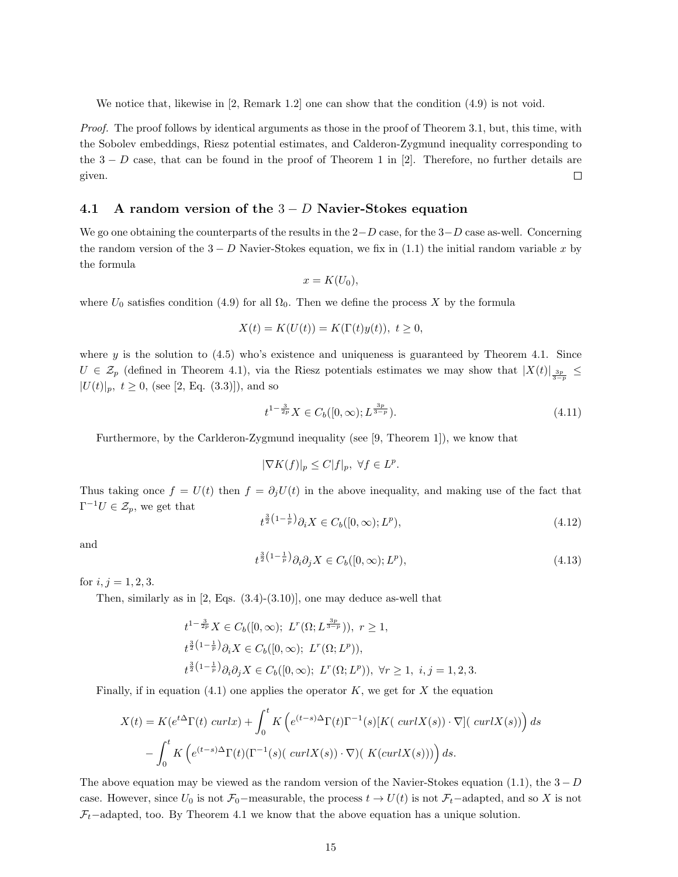We notice that, likewise in [2, Remark 1.2] one can show that the condition  $(4.9)$  is not void.

Proof. The proof follows by identical arguments as those in the proof of Theorem 3.1, but, this time, with the Sobolev embeddings, Riesz potential estimates, and Calderon-Zygmund inequality corresponding to the  $3 - D$  case, that can be found in the proof of Theorem 1 in [2]. Therefore, no further details are given.  $\Box$ 

### 4.1 A random version of the  $3-D$  Navier-Stokes equation

We go one obtaining the counterparts of the results in the  $2-D$  case, for the  $3-D$  case as-well. Concerning the random version of the  $3 - D$  Navier-Stokes equation, we fix in (1.1) the initial random variable x by the formula

$$
x=K(U_0),
$$

where  $U_0$  satisfies condition (4.9) for all  $\Omega_0$ . Then we define the process X by the formula

$$
X(t) = K(U(t)) = K(\Gamma(t)y(t)), \ t \ge 0,
$$

where y is the solution to  $(4.5)$  who's existence and uniqueness is guaranteed by Theorem 4.1. Since U 
ightarrow U ightarrow  $(1, 2)$  and  $(1, 3)$ , via the Riesz potentials estimates we may show that  $|X(t)|_{\frac{3p}{3-p}} \le$  $|U(t)|_p, t \ge 0$ , (see [2, Eq. (3.3)]), and so

$$
t^{1-\frac{3}{2p}}X \in C_b([0,\infty); L^{\frac{3p}{3-p}}). \tag{4.11}
$$

Furthermore, by the Carlderon-Zygmund inequality (see [9, Theorem 1]), we know that

$$
|\nabla K(f)|_p \le C|f|_p, \ \forall f \in L^p.
$$

Thus taking once  $f = U(t)$  then  $f = \partial_i U(t)$  in the above inequality, and making use of the fact that  $\Gamma^{-1}U \in \mathcal{Z}_p$ , we get that

$$
t^{\frac{3}{2}\left(1-\frac{1}{p}\right)}\partial_i X \in C_b([0,\infty); L^p),\tag{4.12}
$$

and

$$
t^{\frac{3}{2}\left(1-\frac{1}{p}\right)}\partial_i\partial_j X \in C_b([0,\infty); L^p),\tag{4.13}
$$

for  $i, j = 1, 2, 3$ .

Then, similarly as in [2, Eqs. (3.4)-(3.10)], one may deduce as-well that

$$
t^{1-\frac{3}{2p}} X \in C_b([0,\infty); \ L^r(\Omega; L^{\frac{3p}{3-p}})), \ r \ge 1,
$$
  
\n
$$
t^{\frac{3}{2}(1-\frac{1}{p})} \partial_i X \in C_b([0,\infty); \ L^r(\Omega; L^p)),
$$
  
\n
$$
t^{\frac{3}{2}(1-\frac{1}{p})} \partial_i \partial_j X \in C_b([0,\infty); \ L^r(\Omega; L^p)), \ \forall r \ge 1, \ i, j = 1, 2, 3.
$$

Finally, if in equation  $(4.1)$  one applies the operator K, we get for X the equation

$$
X(t) = K(e^{t\Delta} \Gamma(t) \operatorname{curl} x) + \int_0^t K\left(e^{(t-s)\Delta} \Gamma(t) \Gamma^{-1}(s)[K(\operatorname{curl} X(s)) \cdot \nabla](\operatorname{curl} X(s))\right) ds
$$

$$
- \int_0^t K\left(e^{(t-s)\Delta} \Gamma(t)(\Gamma^{-1}(s)(\operatorname{curl} X(s)) \cdot \nabla)(K(\operatorname{curl} X(s)))\right) ds.
$$

The above equation may be viewed as the random version of the Navier-Stokes equation (1.1), the  $3-D$ case. However, since  $U_0$  is not  $\mathcal{F}_0$ −measurable, the process  $t \to U(t)$  is not  $\mathcal{F}_t$ −adapted, and so X is not  $\mathcal{F}_t$ –adapted, too. By Theorem 4.1 we know that the above equation has a unique solution.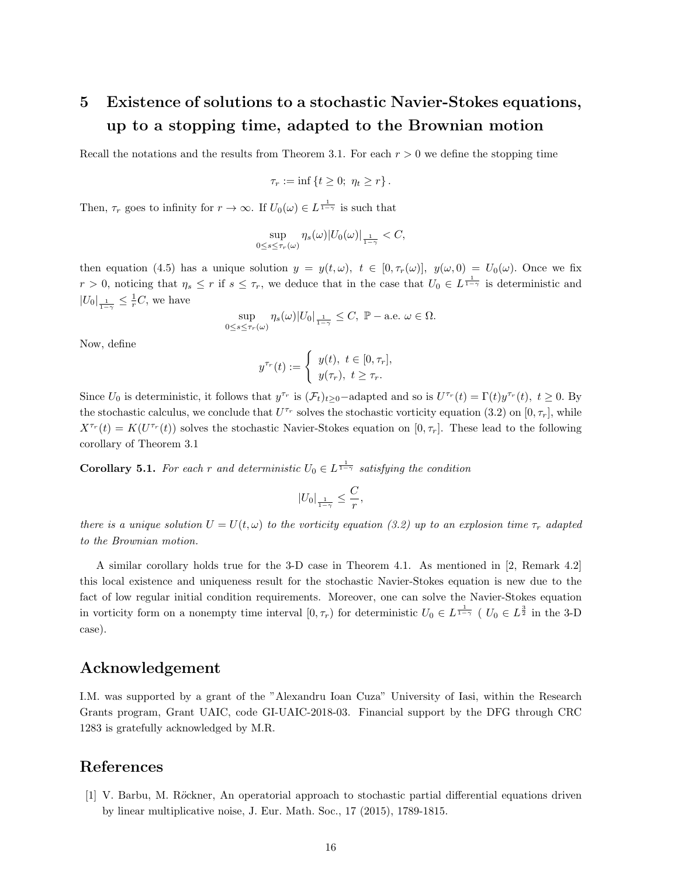# 5 Existence of solutions to a stochastic Navier-Stokes equations, up to a stopping time, adapted to the Brownian motion

Recall the notations and the results from Theorem 3.1. For each  $r > 0$  we define the stopping time

$$
\tau_r := \inf \left\{ t \ge 0; \ \eta_t \ge r \right\}.
$$

Then,  $\tau_r$  goes to infinity for  $r \to \infty$ . If  $U_0(\omega) \in L^{\frac{1}{1-\gamma}}$  is such that

$$
\sup_{0\leq s\leq\tau_r(\omega)}\eta_s(\omega)|U_0(\omega)|_{\frac{1}{1-\gamma}}
$$

then equation (4.5) has a unique solution  $y = y(t, \omega)$ ,  $t \in [0, \tau_r(\omega)]$ ,  $y(\omega, 0) = U_0(\omega)$ . Once we fix  $r > 0$ , noticing that  $\eta_s \leq r$  if  $s \leq \tau_r$ , we deduce that in the case that  $U_0 \in L^{\frac{1}{1-\gamma}}$  is deterministic and  $|U_0|_{\frac{1}{1-\gamma}} \leq \frac{1}{r}C$ , we have

$$
\sup_{0\leq s\leq\tau_r(\omega)}\eta_s(\omega)|U_0|_{\frac{1}{1-\gamma}}\leq C,\ \mathbb{P}-\text{a.e. }\omega\in\Omega.
$$

Now, define

$$
y^{\tau_r}(t) := \begin{cases} y(t), & t \in [0, \tau_r], \\ y(\tau_r), & t \ge \tau_r. \end{cases}
$$

Since  $U_0$  is deterministic, it follows that  $y^{\tau_r}$  is  $(\mathcal{F}_t)_{t\geq 0}$ -adapted and so is  $U^{\tau_r}(t) = \Gamma(t)y^{\tau_r}(t)$ ,  $t \geq 0$ . By the stochastic calculus, we conclude that  $U^{\tau_r}$  solves the stochastic vorticity equation (3.2) on [0,  $\tau_r$ ], while  $X^{\tau_r}(t) = K(U^{\tau_r}(t))$  solves the stochastic Navier-Stokes equation on  $[0, \tau_r]$ . These lead to the following corollary of Theorem 3.1

**Corollary 5.1.** For each r and deterministic  $U_0 \in L^{\frac{1}{1-\gamma}}$  satisfying the condition

$$
|U_0|_{\frac{1}{1-\gamma}} \leq \frac{C}{r},
$$

there is a unique solution  $U = U(t, \omega)$  to the vorticity equation (3.2) up to an explosion time  $\tau_r$  adapted to the Brownian motion.

A similar corollary holds true for the 3-D case in Theorem 4.1. As mentioned in [2, Remark 4.2] this local existence and uniqueness result for the stochastic Navier-Stokes equation is new due to the fact of low regular initial condition requirements. Moreover, one can solve the Navier-Stokes equation in vorticity form on a nonempty time interval  $[0, \tau_r)$  for deterministic  $U_0 \in L^{\frac{1}{1-\gamma}}$  (  $U_0 \in L^{\frac{3}{2}}$  in the 3-D case).

### Acknowledgement

I.M. was supported by a grant of the "Alexandru Ioan Cuza" University of Iasi, within the Research Grants program, Grant UAIC, code GI-UAIC-2018-03. Financial support by the DFG through CRC 1283 is gratefully acknowledged by M.R.

### References

[1] V. Barbu, M. Röckner, An operatorial approach to stochastic partial differential equations driven by linear multiplicative noise, J. Eur. Math. Soc., 17 (2015), 1789-1815.